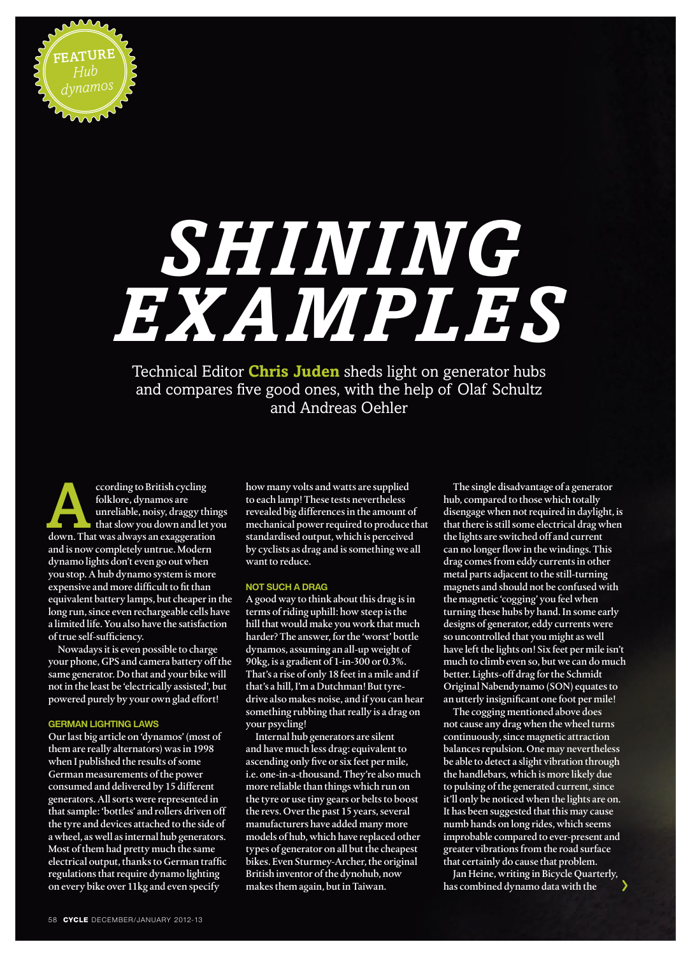

# *Shining examples*

Technical Editor **Chris Juden** sheds light on generator hubs and compares five good ones, with the help of Olaf Schultz and Andreas Oehler

cording to British cycling<br>folklore, dynamos are<br>unreliable, noisy, draggy thin<br>that slow you down and let ye<br>down. That was always an exaggeration folklore, dynamos are unreliable, noisy, draggy things that slow you down and let you and is now completely untrue. Modern dynamo lights don't even go out when you stop. A hub dynamo system is more expensive and more difficult to fit than equivalent battery lamps, but cheaper in the long run, since even rechargeable cells have a limited life. You also have the satisfaction of true self-sufficiency.

Nowadays it is even possible to charge your phone, GPS and camera battery off the same generator. Do that and your bike will not in the least be 'electrically assisted', but powered purely by your own glad effort!

#### **german lighting laws**

Our last big article on 'dynamos' (most of them are really alternators) was in 1998 when I published the results of some German measurements of the power consumed and delivered by 15 different generators. All sorts were represented in that sample: 'bottles' and rollers driven off the tyre and devices attached to the side of a wheel, as well as internal hub generators. Most of them had pretty much the same electrical output, thanks to German traffic regulations that require dynamo lighting on every bike over 11kg and even specify

how many volts and watts are supplied to each lamp! These tests nevertheless revealed big differences in the amount of mechanical power required to produce that standardised output, which is perceived by cyclists as drag and is something we all want to reduce.

### **Not such a drag**

A good way to think about this drag is in terms of riding uphill: how steep is the hill that would make you work that much harder? The answer, for the 'worst' bottle dynamos, assuming an all-up weight of 90kg, is a gradient of 1-in-300 or 0.3%. That's a rise of only 18 feet in a mile and if that's a hill, I'm a Dutchman! But tyredrive also makes noise, and if you can hear something rubbing that really is a drag on your psycling!

Internal hub generators are silent and have much less drag: equivalent to ascending only five or six feet per mile, i.e. one-in-a-thousand. They're also much more reliable than things which run on the tyre or use tiny gears or belts to boost the revs. Over the past 15 years, several manufacturers have added many more models of hub, which have replaced other types of generator on all but the cheapest bikes. Even Sturmey-Archer, the original British inventor of the dynohub, now makes them again, but in Taiwan.

The single disadvantage of a generator hub, compared to those which totally disengage when not required in daylight, is that there is still some electrical drag when the lights are switched off and current can no longer flow in the windings. This drag comes from eddy currents in other metal parts adjacent to the still-turning magnets and should not be confused with the magnetic 'cogging' you feel when turning these hubs by hand. In some early designs of generator, eddy currents were so uncontrolled that you might as well have left the lights on! Six feet per mile isn't much to climb even so, but we can do much better. Lights-off drag for the Schmidt Original Nabendynamo (SON) equates to an utterly insignificant one foot per mile!

The cogging mentioned above does not cause any drag when the wheel turns continuously, since magnetic attraction balances repulsion. One may nevertheless be able to detect a slight vibration through the handlebars, which is more likely due to pulsing of the generated current, since it'll only be noticed when the lights are on. It has been suggested that this may cause numb hands on long rides, which seems improbable compared to ever-present and greater vibrations from the road surface that certainly do cause that problem.

Jan Heine, writing in Bicycle Quarterly, has combined dynamo data with the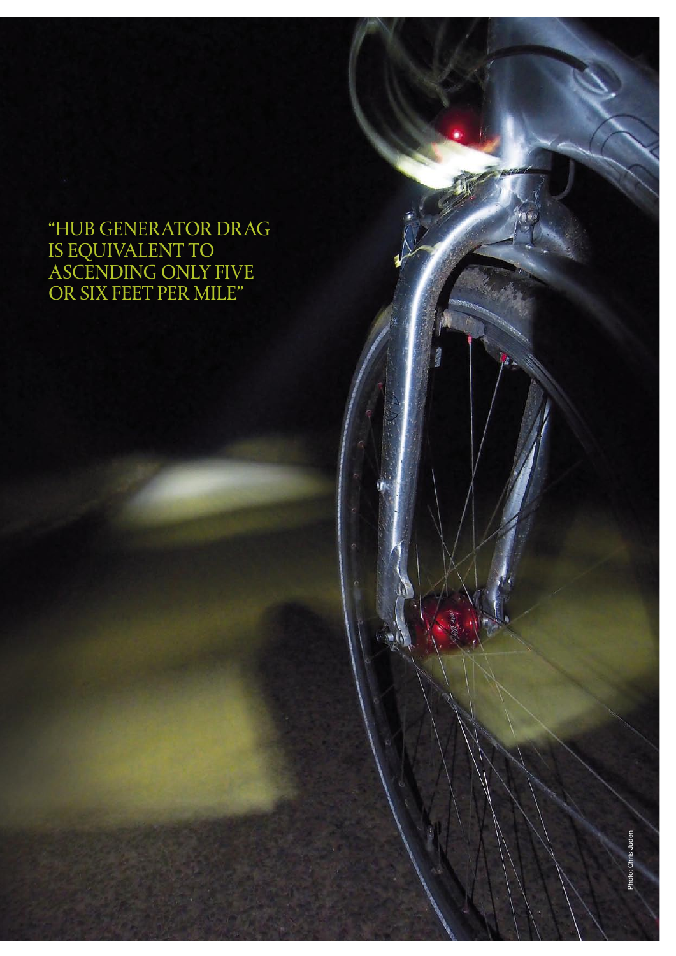# "hub generator drag is equivalent to ascending only five or six feet per mile"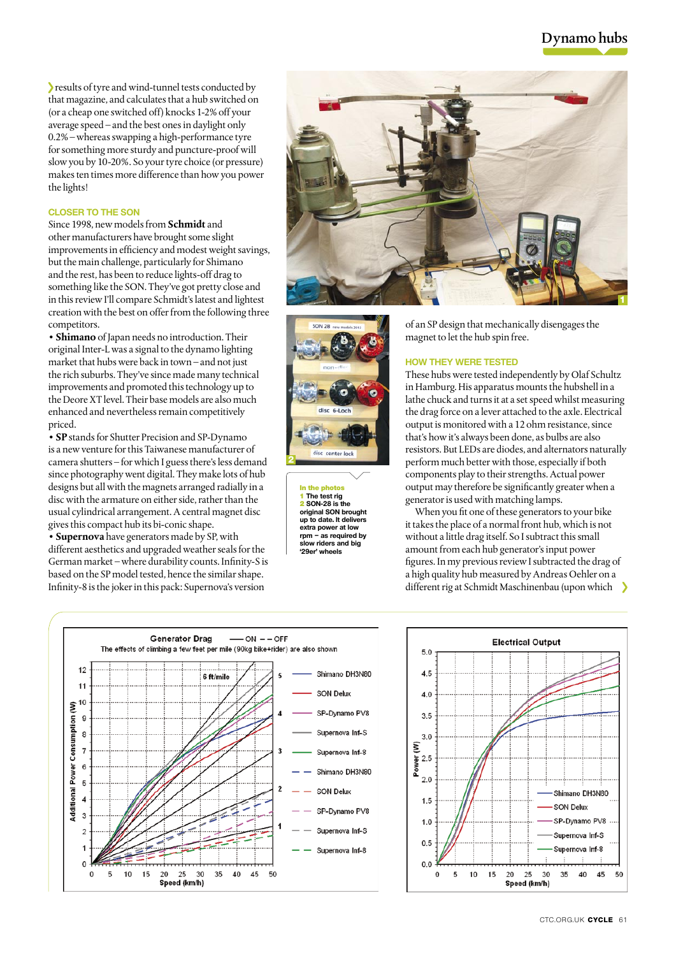# Dynamo hubs

results of tyre and wind-tunnel tests conducted by that magazine, and calculates that a hub switched on (or a cheap one switched off) knocks 1-2% off your average speed – and the best ones in daylight only 0.2% – whereas swapping a high-performance tyre for something more sturdy and puncture-proof will slow you by 10-20%. So your tyre choice (or pressure) makes ten times more difference than how you power the lights!

## **Closer to the SON**

Since 1998, new models from **Schmidt** and other manufacturers have brought some slight improvements in efficiency and modest weight savings, but the main challenge, particularly for Shimano and the rest, has been to reduce lights-off drag to something like the SON. They've got pretty close and in this review I'll compare Schmidt's latest and lightest creation with the best on offer from the following three competitors.

**• Shimano** of Japan needs no introduction. Their original Inter-L was a signal to the dynamo lighting market that hubs were back in town – and not just the rich suburbs. They've since made many technical improvements and promoted this technology up to the Deore XT level. Their base models are also much enhanced and nevertheless remain competitively priced.

**• SP** stands for Shutter Precision and SP-Dynamo is a new venture for this Taiwanese manufacturer of camera shutters – for which I guess there's less demand since photography went digital. They make lots of hub designs but all with the magnets arranged radially in a disc with the armature on either side, rather than the usual cylindrical arrangement. A central magnet disc gives this compact hub its bi-conic shape.

**• Supernova** have generators made by SP, with different aesthetics and upgraded weather seals for the German market – where durability counts. Infinity-S is based on the SP model tested, hence the similar shape. Infinity-8 is the joker in this pack: Supernova's version





In the photos 1 **The test rig** 2 **SON-28 is the original SON brought up to date. It delivers extra power at low rpm – as required by slow riders and big '29er' wheels**

of an SP design that mechanically disengages the magnet to let the hub spin free.

#### **How they were tested**

These hubs were tested independently by Olaf Schultz in Hamburg. His apparatus mounts the hubshell in a lathe chuck and turns it at a set speed whilst measuring the drag force on a lever attached to the axle. Electrical output is monitored with a 12 ohm resistance, since that's how it's always been done, as bulbs are also resistors. But LEDs are diodes, and alternators naturally perform much better with those, especially if both components play to their strengths. Actual power output may therefore be significantly greater when a generator is used with matching lamps.

When you fit one of these generators to your bike it takes the place of a normal front hub, which is not without a little drag itself. So I subtract this small amount from each hub generator's input power figures. In my previous review I subtracted the drag of a high quality hub measured by Andreas Oehler on a different rig at Schmidt Maschinenbau (upon which  $\longrightarrow$ 



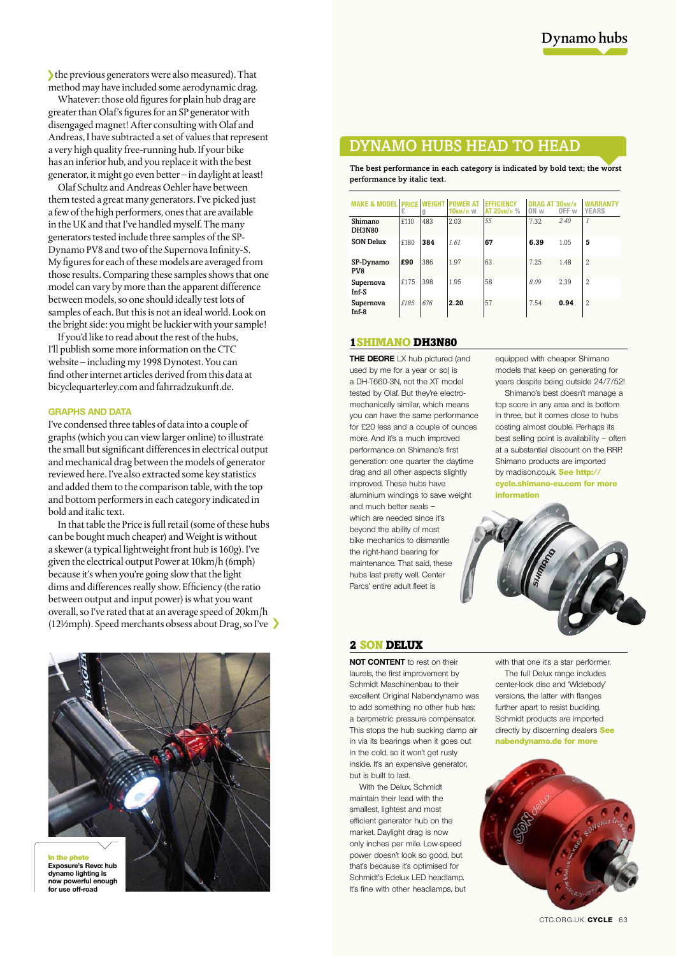the previous generators were also measured). That method may have included some aerodynamic drag.

Whatever: those old figures for plain hub drag are greater than Olaf's figures for an SP generator with disengaged magnet! After consulting with Olaf and Andreas, I have subtracted a set of values that represent a very high quality free-running hub. If your bike has an inferior hub, and you replace it with the best generator, it might go even better – in daylight at least!

Olaf Schultz and Andreas Oehler have between them tested a great many generators. I've picked just a few of the high performers, ones that are available in the UK and that I've handled myself. The many generators tested include three samples of the SP-Dynamo PV8 and two of the Supernova Infinity-S. My figures for each of these models are averaged from those results. Comparing these samples shows that one model can vary by more than the apparent difference between models, so one should ideally test lots of samples of each. But this is not an ideal world. Look on the bright side: you might be luckier with your sample!

If you'd like to read about the rest of the hubs, I'll publish some more information on the CTC website – including my 1998 Dynotest. You can find other internet articles derived from this data at bicyclequarterley.com and fahrradzukunft.de.

#### **GRAPHS AND DATA**

I've condensed three tables of data into a couple of graphs (which you can view larger online) to illustrate the small but significant differences in electrical output and mechanical drag between the models of generator reviewed here. I've also extracted some key statistics and added them to the comparison table, with the top and bottom performers in each category indicated in bold and italic text.

In that table the Price is full retail (some of these hubs can be bought much cheaper) and Weight is without a skewer (a typical lightweight front hub is 160g). I've given the electrical output Power at 10km/h (6mph) because it's when you're going slow that the light dims and differences really show. Efficiency (the ratio between output and input power) is what you want overall, so I've rated that at an average speed of 20km/h (12½mph). Speed merchants obsess about Drag, so I've



**Exposure's Revo: hub dynamo lighting is now powerful enough for use off-road**

# Dynamo hubs head to head

The best performance in each category is indicated by bold text; the worst performance by italic text.

| <b>MAKF &amp; MODFL</b>  | <b>PRICE</b><br>£ |     | <b>10км/н w</b> | <b>FFFICIENCY</b><br>АТ 20км/н % | DRAG AT 30KM/H<br>ON w | OFF w | <b>YEARS</b>   |
|--------------------------|-------------------|-----|-----------------|----------------------------------|------------------------|-------|----------------|
| Shimano<br><b>DH3N80</b> | f110              | 483 | 2.03            | 55                               | 7.32                   | 2.40  | $\mathcal{I}$  |
| <b>SON Delux</b>         | £180              | 384 | 161             | 67                               | 6.39                   | 1.05  | 5              |
| SP-Dynamo<br>PV8         | £90               | 386 | 1.97            | 63                               | 7.25                   | 1.48  | $\overline{2}$ |
| Supernova<br>Inf-S       | £175              | 398 | 1.95            | 58                               | 8.09                   | 2.39  | $\overline{2}$ |
| Supernova<br>$Inf-8$     | £185              | 676 | 2.20            | 57                               | 7.54                   | 0.94  | $\overline{2}$ |

## 1Shimano DH3N80

**THE DEORE** LX hub pictured (and used by me for a year or so) is a DH-T660-3N, not the XT model tested by Olaf. But they're electromechanically similar, which means you can have the same performance for £20 less and a couple of ounces more. And it's a much improved performance on Shimano's first generation: one quarter the daytime drag and all other aspects slightly improved. These hubs have aluminium windings to save weight and much better seals – which are needed since it's beyond the ability of most bike mechanics to dismantle the right-hand bearing for maintenance. That said, these hubs last pretty well. Center Parcs' entire adult fleet is

equipped with cheaper Shimano models that keep on generating for years despite being outside 24/7/52!

Shimano's best doesn't manage a top score in any area and is bottom in three, but it comes close to hubs costing almost double. Perhaps its best selling point is availability – often at a substantial discount on the RRP. Shimano products are imported by madison.co.uk. **See http:// cycle.shimano-eu.com for more** 

**information**



### 2 SON DELUX

**NOT CONTENT** to rest on their laurels, the first improvement by Schmidt Maschinenbau to their excellent Original Nabendynamo was to add something no other hub has: a barometric pressure compensator. This stops the hub sucking damp air in via its bearings when it goes out in the cold, so it won't get rusty inside. It's an expensive generator, but is built to last.

With the Delux, Schmidt maintain their lead with the smallest, lightest and most efficient generator hub on the market. Daylight drag is now only inches per mile. Low-speed power doesn't look so good, but that's because it's optimised for Schmidt's Edelux LED headlamp. It's fine with other headlamps, but

with that one it's a star performer. The full Delux range includes center-lock disc and 'Widebody' versions, the latter with flanges further apart to resist buckling. Schmidt products are imported directly by discerning dealers **See nabendynamo.de for more**